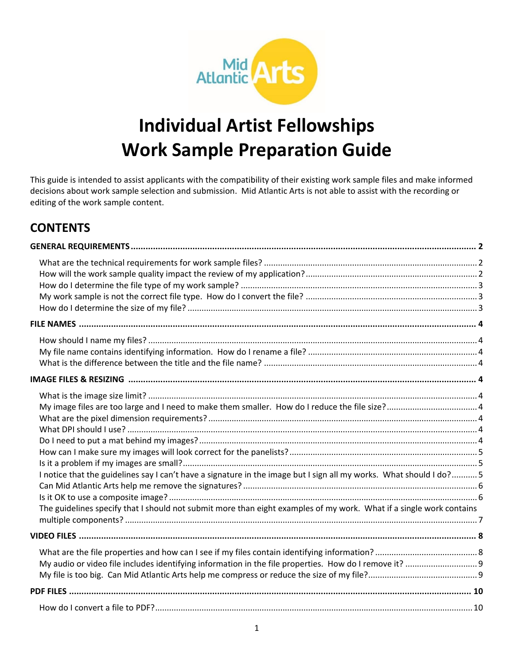

# **Individual Artist Fellowships Work Sample Preparation Guide**

This guide is intended to assist applicants with the compatibility of their existing work sample files and make informed decisions about work sample selection and submission. Mid Atlantic Arts is not able to assist with the recording or editing of the work sample content.

### **CONTENTS**

| I notice that the guidelines say I can't have a signature in the image but I sign all my works. What should I do? 5 |  |
|---------------------------------------------------------------------------------------------------------------------|--|
|                                                                                                                     |  |
| The guidelines specify that I should not submit more than eight examples of my work. What if a single work contains |  |
|                                                                                                                     |  |
|                                                                                                                     |  |
|                                                                                                                     |  |
|                                                                                                                     |  |
|                                                                                                                     |  |
|                                                                                                                     |  |
|                                                                                                                     |  |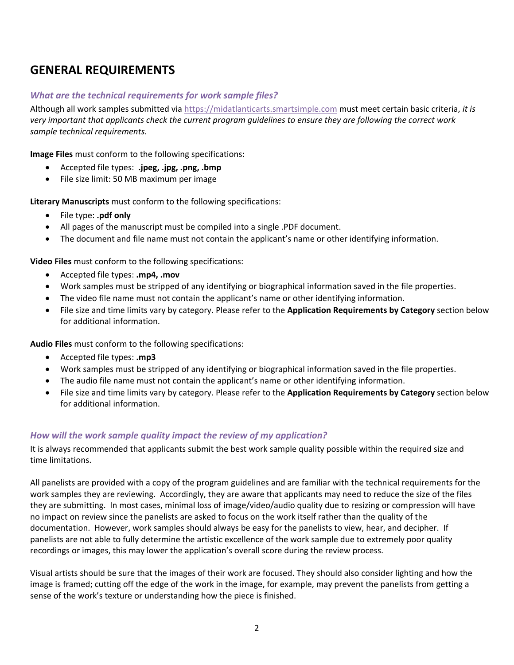### <span id="page-1-0"></span>**GENERAL REQUIREMENTS**

#### <span id="page-1-1"></span>*What are the technical requirements for work sample files?*

Although all work samples submitted vi[a https://midatlanticarts.smartsimple.com](https://midatlanticarts.smartsimple.com/) must meet certain basic criteria, *it is very important that applicants check the current program guidelines to ensure they are following the correct work sample technical requirements.* 

**Image Files** must conform to the following specifications:

- Accepted file types: **.jpeg, .jpg, .png, .bmp**
- File size limit: 50 MB maximum per image

**Literary Manuscripts** must conform to the following specifications:

- File type: **.pdf only**
- All pages of the manuscript must be compiled into a single .PDF document.
- The document and file name must not contain the applicant's name or other identifying information.

**Video Files** must conform to the following specifications:

- Accepted file types: **.mp4, .mov**
- Work samples must be stripped of any identifying or biographical information saved in the file properties.
- The video file name must not contain the applicant's name or other identifying information.
- File size and time limits vary by category. Please refer to the **Application Requirements by Category** section below for additional information.

**Audio Files** must conform to the following specifications:

- Accepted file types: **.mp3**
- Work samples must be stripped of any identifying or biographical information saved in the file properties.
- The audio file name must not contain the applicant's name or other identifying information.
- File size and time limits vary by category. Please refer to the **Application Requirements by Category** section below for additional information.

#### <span id="page-1-2"></span>*How will the work sample quality impact the review of my application?*

It is always recommended that applicants submit the best work sample quality possible within the required size and time limitations.

All panelists are provided with a copy of the program guidelines and are familiar with the technical requirements for the work samples they are reviewing. Accordingly, they are aware that applicants may need to reduce the size of the files they are submitting. In most cases, minimal loss of image/video/audio quality due to resizing or compression will have no impact on review since the panelists are asked to focus on the work itself rather than the quality of the documentation. However, work samples should always be easy for the panelists to view, hear, and decipher. If panelists are not able to fully determine the artistic excellence of the work sample due to extremely poor quality recordings or images, this may lower the application's overall score during the review process.

Visual artists should be sure that the images of their work are focused. They should also consider lighting and how the image is framed; cutting off the edge of the work in the image, for example, may prevent the panelists from getting a sense of the work's texture or understanding how the piece is finished.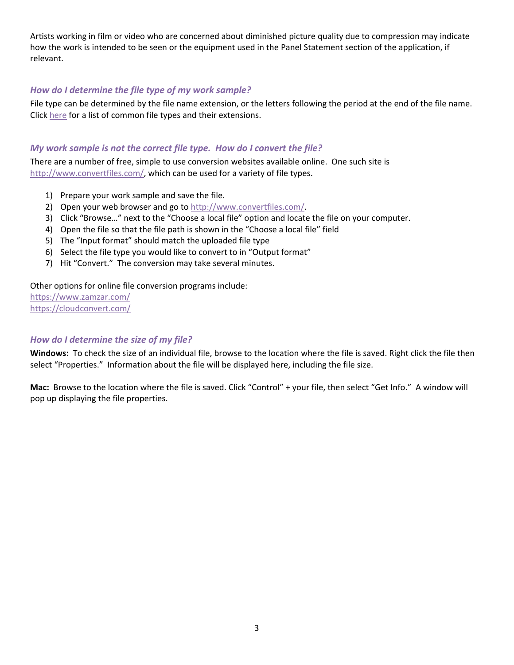Artists working in film or video who are concerned about diminished picture quality due to compression may indicate how the work is intended to be seen or the equipment used in the Panel Statement section of the application, if relevant.

#### <span id="page-2-0"></span>*How do I determine the file type of my work sample?*

File type can be determined by the file name extension, or the letters following the period at the end of the file name. Click [here](http://www.fileinfo.com/filetypes/common) for a list of common file types and their extensions.

#### <span id="page-2-1"></span>*My work sample is not the correct file type. How do I convert the file?*

There are a number of free, simple to use conversion websites available online. One such site is [http://www.convertfiles.com/,](http://www.convertfiles.com/) which can be used for a variety of file types.

- 1) Prepare your work sample and save the file.
- 2) Open your web browser and go to [http://www.convertfiles.com/.](http://www.convertfiles.com/)
- 3) Click "Browse…" next to the "Choose a local file" option and locate the file on your computer.
- 4) Open the file so that the file path is shown in the "Choose a local file" field
- 5) The "Input format" should match the uploaded file type
- 6) Select the file type you would like to convert to in "Output format"
- 7) Hit "Convert." The conversion may take several minutes.

#### Other options for online file conversion programs include:

<https://www.zamzar.com/> <https://cloudconvert.com/>

#### <span id="page-2-2"></span>*How do I determine the size of my file?*

**Windows:** To check the size of an individual file, browse to the location where the file is saved. Right click the file then select "Properties."Information about the file will be displayed here, including the file size.

**Mac:** Browse to the location where the file is saved. Click "Control" + your file, then select "Get Info." A window will pop up displaying the file properties.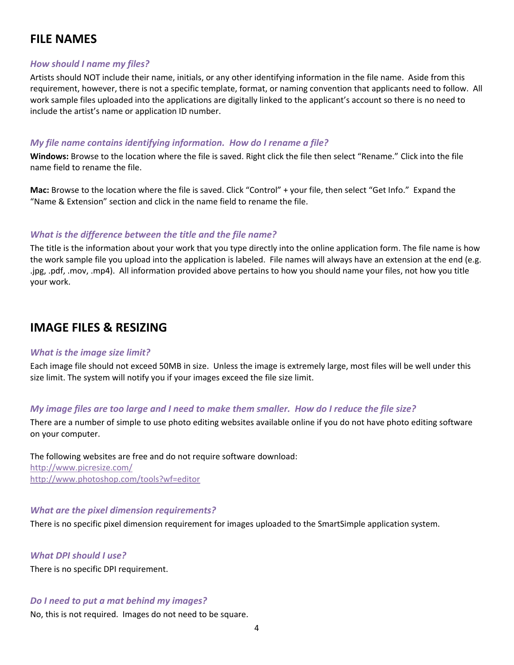### <span id="page-3-0"></span>**FILE NAMES**

#### <span id="page-3-1"></span>*How should I name my files?*

Artists should NOT include their name, initials, or any other identifying information in the file name. Aside from this requirement, however, there is not a specific template, format, or naming convention that applicants need to follow. All work sample files uploaded into the applications are digitally linked to the applicant's account so there is no need to include the artist's name or application ID number.

#### <span id="page-3-2"></span>*My file name contains identifying information. How do I rename a file?*

**Windows:** Browse to the location where the file is saved. Right click the file then select "Rename." Click into the file name field to rename the file.

**Mac:** Browse to the location where the file is saved. Click "Control" + your file, then select "Get Info." Expand the "Name & Extension" section and click in the name field to rename the file.

#### <span id="page-3-3"></span>*What is the difference between the title and the file name?*

The title is the information about your work that you type directly into the online application form. The file name is how the work sample file you upload into the application is labeled. File names will always have an extension at the end (e.g. .jpg, .pdf, .mov, .mp4). All information provided above pertains to how you should name your files, not how you title your work.

### <span id="page-3-4"></span>**IMAGE FILES & RESIZING**

#### <span id="page-3-5"></span>*What is the image size limit?*

Each image file should not exceed 50MB in size. Unless the image is extremely large, most files will be well under this size limit. The system will notify you if your images exceed the file size limit.

#### <span id="page-3-6"></span>*My image files are too large and I need to make them smaller. How do I reduce the file size?*

There are a number of simple to use photo editing websites available online if you do not have photo editing software on your computer.

The following websites are free and do not require software download:

<http://www.picresize.com/> <http://www.photoshop.com/tools?wf=editor>

#### <span id="page-3-7"></span>*What are the pixel dimension requirements?*

There is no specific pixel dimension requirement for images uploaded to the SmartSimple application system.

#### <span id="page-3-8"></span>*What DPI should I use?*

There is no specific DPI requirement.

#### <span id="page-3-9"></span>*Do I need to put a mat behind my images?*

No, this is not required. Images do not need to be square.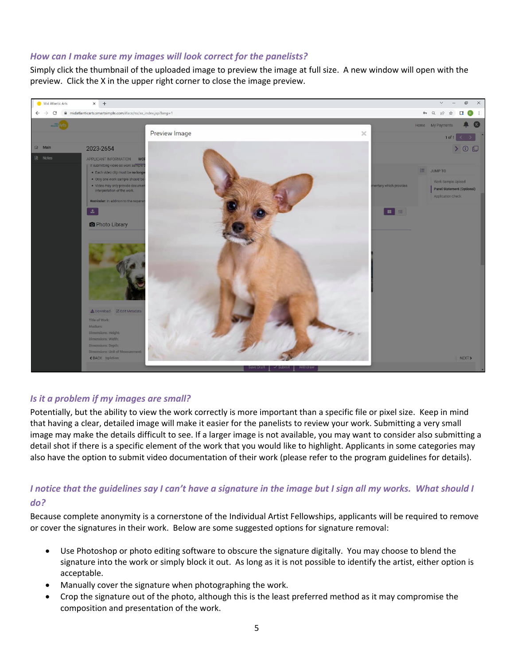#### <span id="page-4-0"></span>*How can I make sure my images will look correct for the panelists?*

Simply click the thumbnail of the uploaded image to preview the image at full size. A new window will open with the preview. Click the X in the upper right corner to close the image preview.



#### <span id="page-4-1"></span>*Is it a problem if my images are small?*

Potentially, but the ability to view the work correctly is more important than a specific file or pixel size. Keep in mind that having a clear, detailed image will make it easier for the panelists to review your work. Submitting a very small image may make the details difficult to see. If a larger image is not available, you may want to consider also submitting a detail shot if there is a specific element of the work that you would like to highlight. Applicants in some categories may also have the option to submit video documentation of their work (please refer to the program guidelines for details).

#### <span id="page-4-2"></span>*I notice that the guidelines say I can't have a signature in the image but I sign all my works. What should I do?*

Because complete anonymity is a cornerstone of the Individual Artist Fellowships, applicants will be required to remove or cover the signatures in their work. Below are some suggested options for signature removal:

- Use Photoshop or photo editing software to obscure the signature digitally. You may choose to blend the signature into the work or simply block it out. As long as it is not possible to identify the artist, either option is acceptable.
- Manually cover the signature when photographing the work.
- Crop the signature out of the photo, although this is the least preferred method as it may compromise the composition and presentation of the work.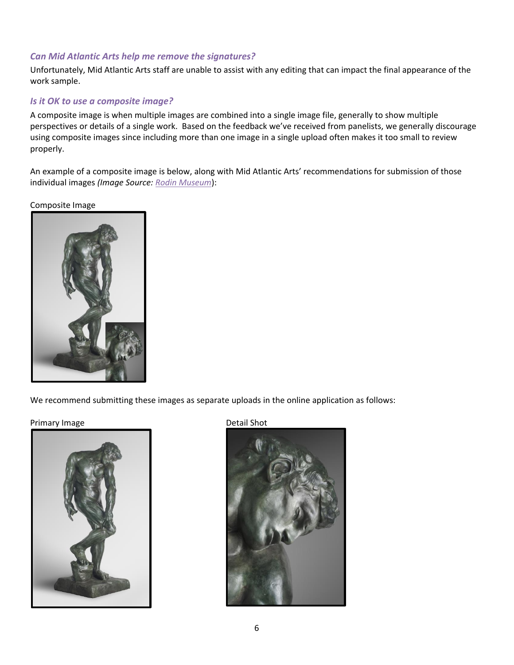#### <span id="page-5-0"></span>*Can Mid Atlantic Arts help me remove the signatures?*

Unfortunately, Mid Atlantic Arts staff are unable to assist with any editing that can impact the final appearance of the work sample.

#### <span id="page-5-1"></span>*Is it OK to use a composite image?*

A composite image is when multiple images are combined into a single image file, generally to show multiple perspectives or details of a single work. Based on the feedback we've received from panelists, we generally discourage using composite images since including more than one image in a single upload often makes it too small to review properly.

An example of a composite image is below, along with Mid Atlantic Arts' recommendations for submission of those individual images *(Image Source: [Rodin Museum](http://www.rodinmuseum.org/collections/permanent/103357.html?mulR=1273584069|1)*):

#### Composite Image



We recommend submitting these images as separate uploads in the online application as follows:

#### Primary Image **Detail Shot** Detail Shot



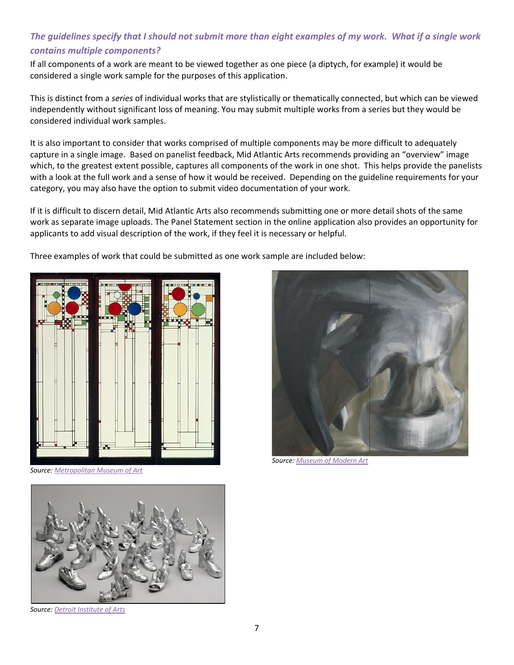### <span id="page-6-0"></span>*The guidelines specify that I should not submit more than eight examples of my work. What if a single work contains multiple components?*

If all components of a work are meant to be viewed together as one piece (a diptych, for example) it would be considered a single work sample for the purposes of this application.

This is distinct from a *series* of individual works that are stylistically or thematically connected, but which can be viewed independently without significant loss of meaning. You may submit multiple works from a series but they would be considered individual work samples.

It is also important to consider that works comprised of multiple components may be more difficult to adequately capture in a single image. Based on panelist feedback, Mid Atlantic Arts recommends providing an "overview" image which, to the greatest extent possible, captures all components of the work in one shot. This helps provide the panelists with a look at the full work and a sense of how it would be received. Depending on the guideline requirements for your category, you may also have the option to submit video documentation of your work.

If it is difficult to discern detail, Mid Atlantic Arts also recommends submitting one or more detail shots of the same work as separate image uploads. The Panel Statement section in the online application also provides an opportunity for applicants to add visual description of the work, if they feel it is necessary or helpful.

Three examples of work that could be submitted as one work sample are included below:



*Source: [Metropolitan Museum of Art](http://www.metmuseum.org/collection/the-collection-online/search/9823)*



*Source: [Museum of Modern Art](https://www.moma.org/collection/works/89960?locale=en)*



*Source: [Detroit Institute of Arts](https://www.dia.org/)*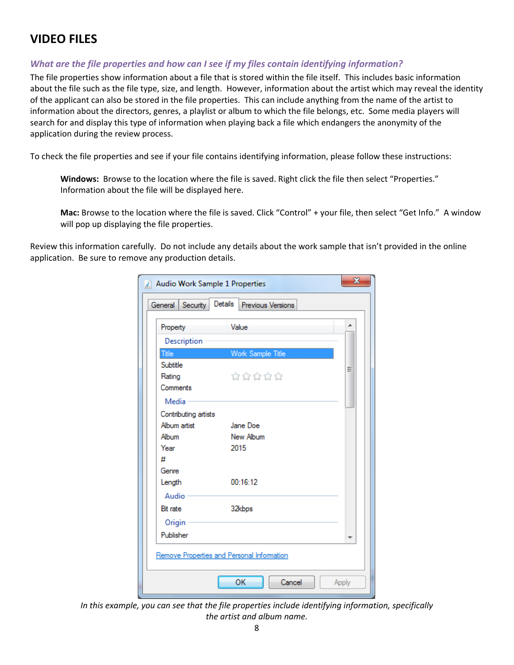## <span id="page-7-0"></span>**VIDEO FILES**

### <span id="page-7-1"></span>*What are the file properties and how can I see if my files contain identifying information?*

The file properties show information about a file that is stored within the file itself. This includes basic information about the file such as the file type, size, and length. However, information about the artist which may reveal the identity of the applicant can also be stored in the file properties. This can include anything from the name of the artist to information about the directors, genres, a playlist or album to which the file belongs, etc. Some media players will search for and display this type of information when playing back a file which endangers the anonymity of the application during the review process.

To check the file properties and see if your file contains identifying information, please follow these instructions:

**Windows:** Browse to the location where the file is saved. Right click the file then select "Properties." Information about the file will be displayed here.

**Mac:** Browse to the location where the file is saved. Click "Control" + your file, then select "Get Info." A window will pop up displaying the file properties.

Review this information carefully. Do not include any details about the work sample that isn't provided in the online application. Be sure to remove any production details.

| Property             | Value                                      |   |
|----------------------|--------------------------------------------|---|
| Description          |                                            |   |
| Title                | Work Sample Title                          |   |
| Subtitle             |                                            | Ξ |
| Rating               | ಬೆ ಬೆ ಬೆ ಬೆ                                |   |
| Comments             |                                            |   |
| Media :              |                                            |   |
| Contributing artists |                                            |   |
| Album artist         | Jane Doe                                   |   |
| Album                | New Album                                  |   |
| Year                 | 2015                                       |   |
| #                    |                                            |   |
| Genre                |                                            |   |
| Length               | 00:16:12                                   |   |
| Audio                |                                            |   |
| <b>Bit rate</b>      | 32kbps                                     |   |
| Origin               |                                            |   |
| Publisher            |                                            |   |
|                      |                                            |   |
|                      | Remove Properties and Personal Information |   |

*In this example, you can see that the file properties include identifying information, specifically the artist and album name.*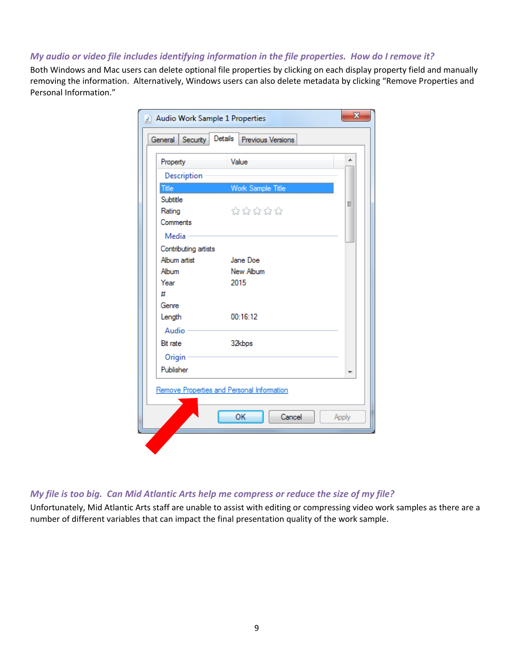#### <span id="page-8-0"></span>*My audio or video file includes identifying information in the file properties. How do I remove it?*

Both Windows and Mac users can delete optional file properties by clicking on each display property field and manually removing the information. Alternatively, Windows users can also delete metadata by clicking "Remove Properties and Personal Information."

| Property             | Value                                      |       |
|----------------------|--------------------------------------------|-------|
| Description          |                                            |       |
| Title                | Work Sample Title                          |       |
| Subtitle             |                                            | Ξ     |
| Rating               | ನ ನ ನ ನ ನ                                  |       |
| Comments             |                                            |       |
| Media -              |                                            |       |
| Contributing artists |                                            |       |
| Album artist         | Jane Doe                                   |       |
| Album                | New Album                                  |       |
| Year                 | 2015                                       |       |
| #                    |                                            |       |
| Genre                |                                            |       |
| Length               | 00:16:12                                   |       |
| Audio ·              |                                            |       |
| <b>Bit rate</b>      | 32kbps                                     |       |
| Origin               |                                            |       |
| Publisher            |                                            |       |
|                      |                                            |       |
|                      | Remove Properties and Personal Information |       |
|                      |                                            |       |
|                      | OK<br>Cancel                               | Apply |

#### <span id="page-8-1"></span>*My file is too big. Can Mid Atlantic Arts help me compress or reduce the size of my file?*

Unfortunately, Mid Atlantic Arts staff are unable to assist with editing or compressing video work samples as there are a number of different variables that can impact the final presentation quality of the work sample.